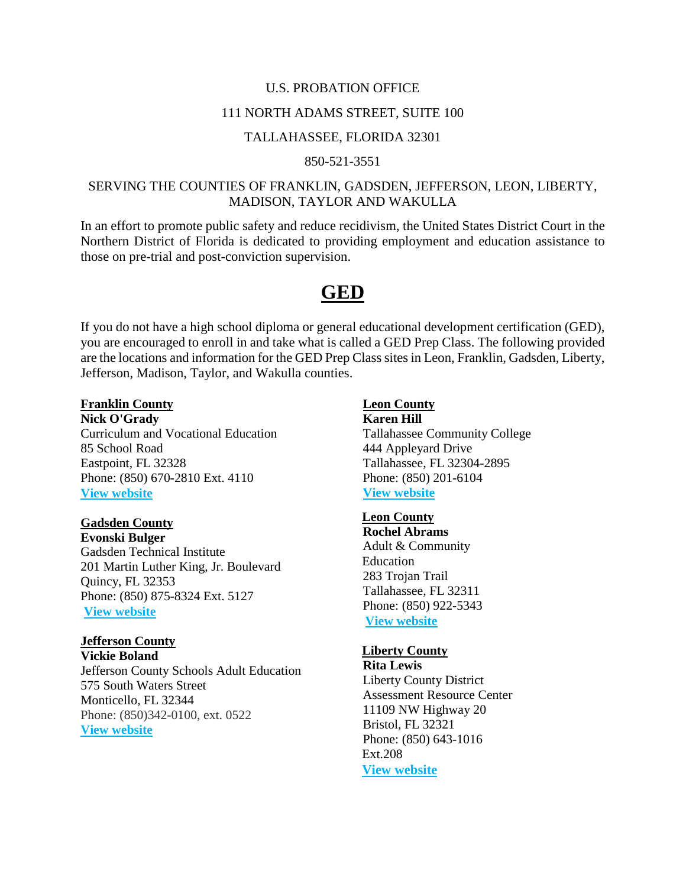#### U.S. PROBATION OFFICE

#### 111 NORTH ADAMS STREET, SUITE 100

#### TALLAHASSEE, FLORIDA 32301

#### 850-521-3551

## SERVING THE COUNTIES OF FRANKLIN, GADSDEN, JEFFERSON, LEON, LIBERTY, MADISON, TAYLOR AND WAKULLA

In an effort to promote public safety and reduce recidivism, the United States District Court in the Northern District of Florida is dedicated to providing employment and education assistance to those on pre-trial and post-conviction supervision.

# **GED**

If you do not have a high school diploma or general educational development certification (GED), you are encouraged to enroll in and take what is called a GED Prep Class. The following provided are the locations and information for the GED Prep Class sites in Leon, Franklin, Gadsden, Liberty, Jefferson, Madison, Taylor, and Wakulla counties.

#### **Franklin County**

**Nick O'Grady** Curriculum and Vocational Education 85 School Road Eastpoint, FL 32328 Phone: (850) 670-2810 Ext. 4110 **[View website](http://www.franklincountyschools.org/domain/50)**

#### **Gadsden County**

**Evonski Bulger** Gadsden Technical Institute 201 Martin Luther King, Jr. Boulevard Quincy, FL 32353 Phone: (850) 875-8324 Ext. 5127 **[View website](http://www.gadsdentech.org/Default.asp?PN=Pages&SubP=Level2&DivisionID=%27%27&DepartmentID=%27%27&SubDepartmentID=%27%27&PageID=%2728589%27&SubPageID=%2718293%27)**

## **Jefferson County**

**Vickie Boland** Jefferson County Schools Adult Education 575 South Waters Street Monticello, FL 32344 Phone: (850)342-0100, ext. 0522 **[View website](http://www.jeffersonschooldistrict.org/3/Home)**

#### **Leon County**

**Karen Hill** Tallahassee Community College 444 Appleyard Drive Tallahassee, FL 32304-2895 Phone: (850) 201-6104 **[View website](http://www.tcc.fl.edu/workforce-development/individuals/earn-your-ged-or-learn-english/)**

## **Leon County**

**Rochel Abrams** Adult & Community Education 283 Trojan Trail Tallahassee, FL 32311 Phone: (850) 922-5343 **[View website](http://www.ace-leon.org/)**

#### **Liberty County**

**Rita Lewis** Liberty County District Assessment Resource Center 11109 NW Highway 20 Bristol, FL 32321 Phone: (850) 643-1016 Ext.208 **[View website](http://www.nationalliteracydirectory.org/liberty-county-district-assessment-resource-center)**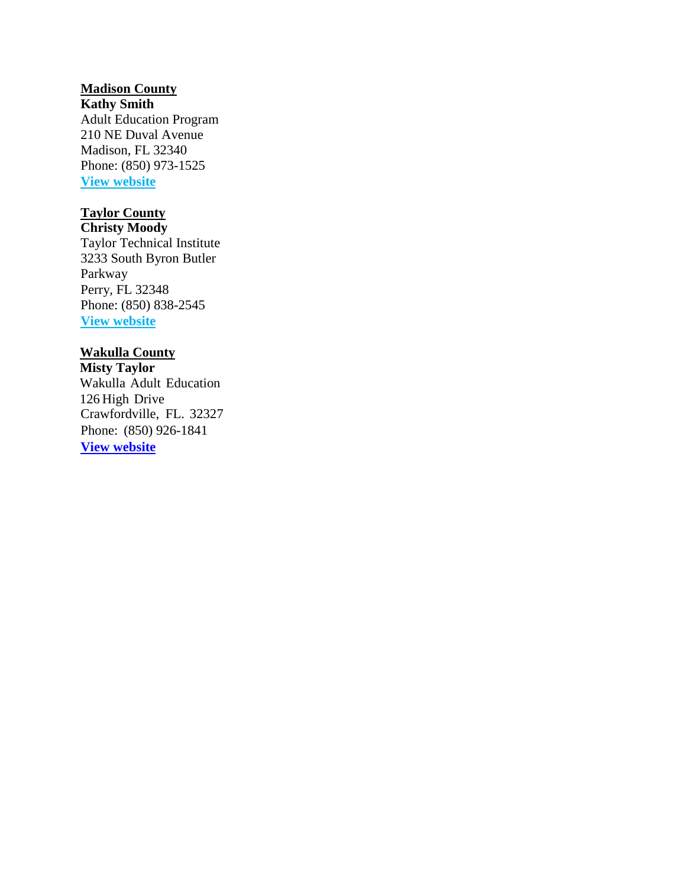# **Madison County**

**Kathy Smith** Adult Education Program 210 NE Duval Avenue Madison, FL 32340 Phone: (850) 973-1525 **[View website](http://www.madison.k12.fl.us/?DivisionID=19645&ToggleSideNav=ShowAll)**

# **Taylor County**

**Christy Moody** Taylor Technical Institute 3233 South Byron Butler Parkway Perry, FL 32348 Phone: (850) 838-2545 **[View website](http://taylortechnical.org/)**

## **Wakulla County**

**Misty Taylor** Wakulla Adult Education 126 High Drive Crawfordville, FL. 32327 Phone: (850) 926-1841 **[View website](http://www.aehs.wcsb.us/)**